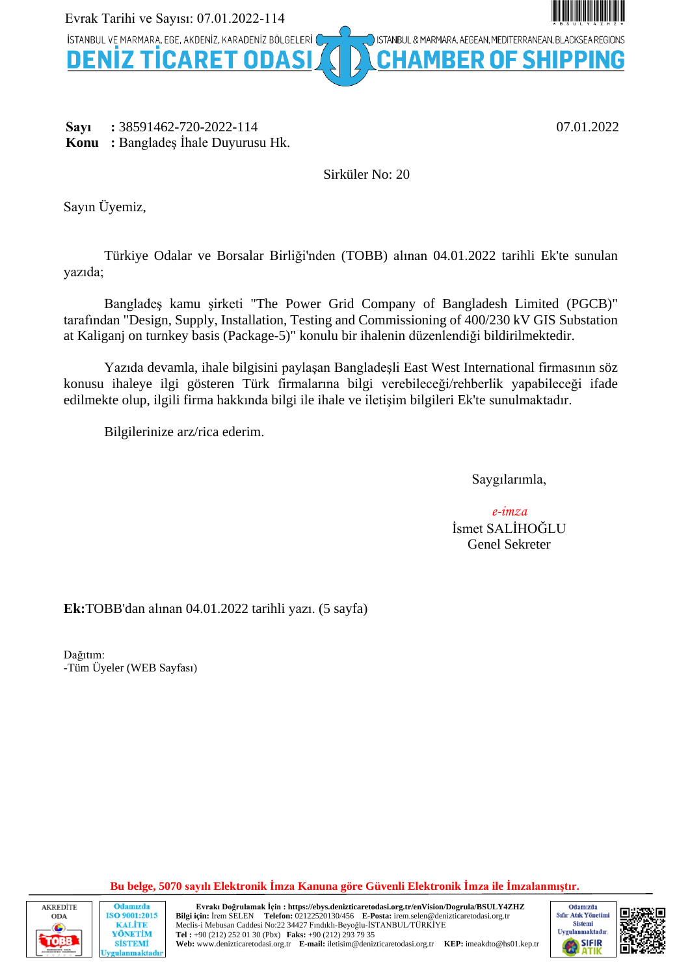

**Sayı :** 38591462-720-2022-114 07.01.2022 **Konu :** Bangladeş İhale Duyurusu Hk.

Sirküler No: 20

Sayın Üyemiz,

Türkiye Odalar ve Borsalar Birliği'nden (TOBB) alınan 04.01.2022 tarihli Ek'te sunulan yazıda;

Bangladeş kamu şirketi "The Power Grid Company of Bangladesh Limited (PGCB)" tarafından "Design, Supply, Installation, Testing and Commissioning of 400/230 kV GIS Substation at Kaliganj on turnkey basis (Package-5)" konulu bir ihalenin düzenlendiği bildirilmektedir.

Yazıda devamla, ihale bilgisini paylaşan Bangladeşli East West International firmasının söz konusu ihaleye ilgi gösteren Türk firmalarına bilgi verebileceği/rehberlik yapabileceği ifade edilmekte olup, ilgili firma hakkında bilgi ile ihale ve iletişim bilgileri Ek'te sunulmaktadır.

Bilgilerinize arz/rica ederim.

Saygılarımla,

*e-imza* İsmet SALİHOĞLU Genel Sekreter

**Ek:**TOBB'dan alınan 04.01.2022 tarihli yazı. (5 sayfa)

Dağıtım: -Tüm Üyeler (WEB Sayfası)

**Bu belge, 5070 sayılı Elektronik İmza Kanuna göre Güvenli Elektronik İmza ile İmzalanmıştır.**



Odamızda ISO 9001:2015 **KALITE** YÖNETİM **SİSTEMİ maktadı** 

**Evrakı Doğrulamak İçin : https://ebys.denizticaretodasi.org.tr/enVision/Dogrula/BSULY4ZHZ Bilgi için:** İrem SELEN **Telefon:** 02122520130/456 **E-Posta:** irem.selen@denizticaretodasi.org.tr Meclis-i Mebusan Caddesi No:22 34427 Fındıklı-Beyoğlu-İSTANBUL/TÜRKİYE **Tel :** +90 (212) 252 01 30 (Pbx) **Faks:** +90 (212) 293 79 35 **Web:** www.denizticaretodasi.org.tr **E-mail:** iletisim@denizticaretodasi.org.tr **KEP:** imeakdto@hs01.kep.tr

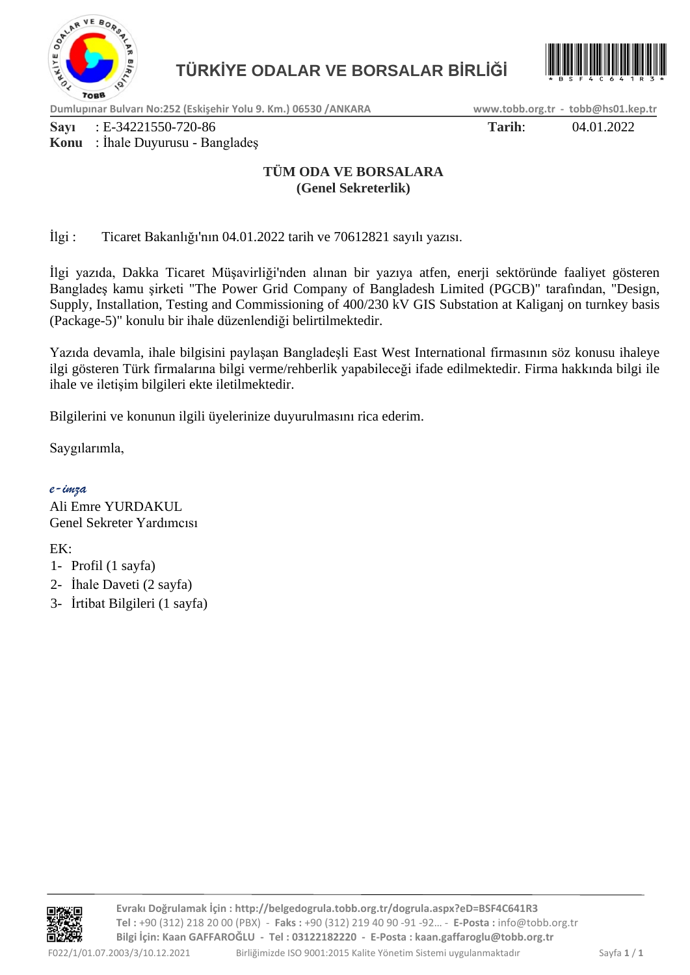



**Dumlupınar Bulvarı No:252 (Eskişehir Yolu 9. Km.) 06530 /ANKARA www.tobb.org.tr - tobb@hs01.kep.tr**

**Sayı** : E-34221550-720-86 **Tarih**: 04.01.2022

### **Konu** : İhale Duyurusu - Bangladeş

### **TÜM ODA VE BORSALARA (Genel Sekreterlik)**

İlgi : Ticaret Bakanlığı'nın 04.01.2022 tarih ve 70612821 sayılı yazısı.

İlgi yazıda, Dakka Ticaret Müşavirliği'nden alınan bir yazıya atfen, enerji sektöründe faaliyet gösteren Bangladeş kamu şirketi "The Power Grid Company of Bangladesh Limited (PGCB)" tarafından, "Design, Supply, Installation, Testing and Commissioning of 400/230 kV GIS Substation at Kaliganj on turnkey basis (Package-5)" konulu bir ihale düzenlendiği belirtilmektedir.

Yazıda devamla, ihale bilgisini paylaşan Bangladeşli East West International firmasının söz konusu ihaleye ilgi gösteren Türk firmalarına bilgi verme/rehberlik yapabileceği ifade edilmektedir. Firma hakkında bilgi ile ihale ve iletişim bilgileri ekte iletilmektedir.

Bilgilerini ve konunun ilgili üyelerinize duyurulmasını rica ederim.

Saygılarımla,

### *e-imza*

Ali Emre YURDAKUL Genel Sekreter Yardımcısı

EK:

- 1- Profil (1 sayfa)
- 2- İhale Daveti (2 sayfa)
- 3- İrtibat Bilgileri (1 sayfa)

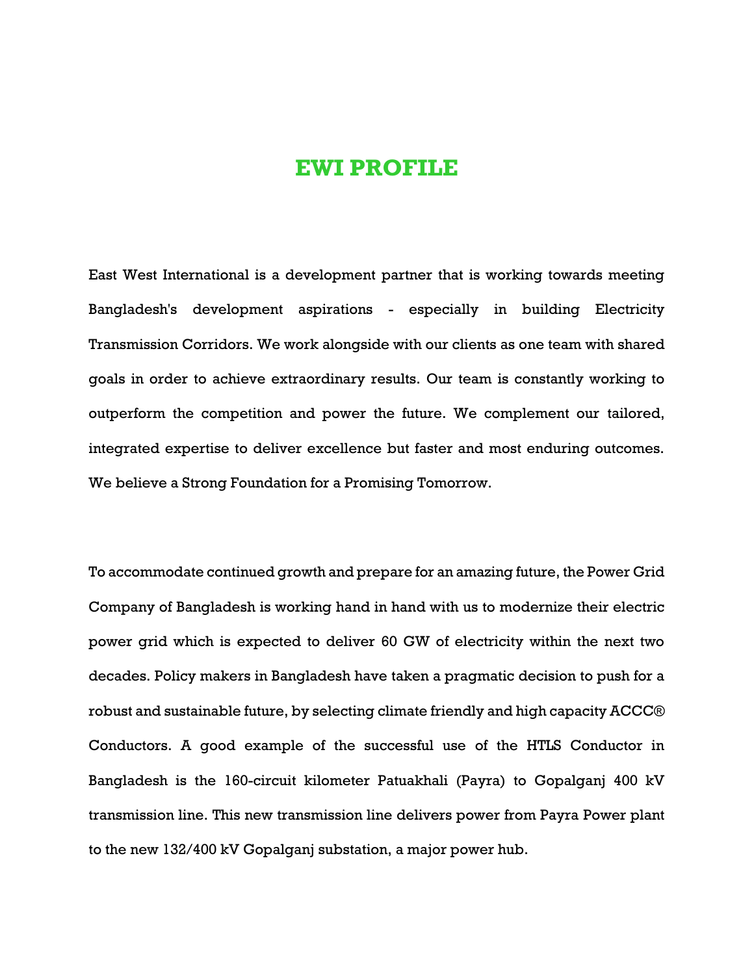# **EWI PROFILE**

East West International is a development partner that is working towards meeting Bangladesh's development aspirations - especially in building Electricity Transmission Corridors. We work alongside with our clients as one team with shared goals in order to achieve extraordinary results. Our team is constantly working to outperform the competition and power the future. We complement our tailored, integrated expertise to deliver excellence but faster and most enduring outcomes. We believe a Strong Foundation for a Promising Tomorrow.

To accommodate continued growth and prepare for an amazing future, the Power Grid Company of Bangladesh is working hand in hand with us to modernize their electric power grid which is expected to deliver 60 GW of electricity within the next two decades. Policy makers in Bangladesh have taken a pragmatic decision to push for a robust and sustainable future, by selecting climate friendly and high capacity ACCC® Conductors. A good example of the successful use of the HTLS Conductor in Bangladesh is the 160-circuit kilometer Patuakhali (Payra) to Gopalganj 400 kV transmission line. This new transmission line delivers power from Payra Power plant to the new 132/400 kV Gopalganj substation, a major power hub.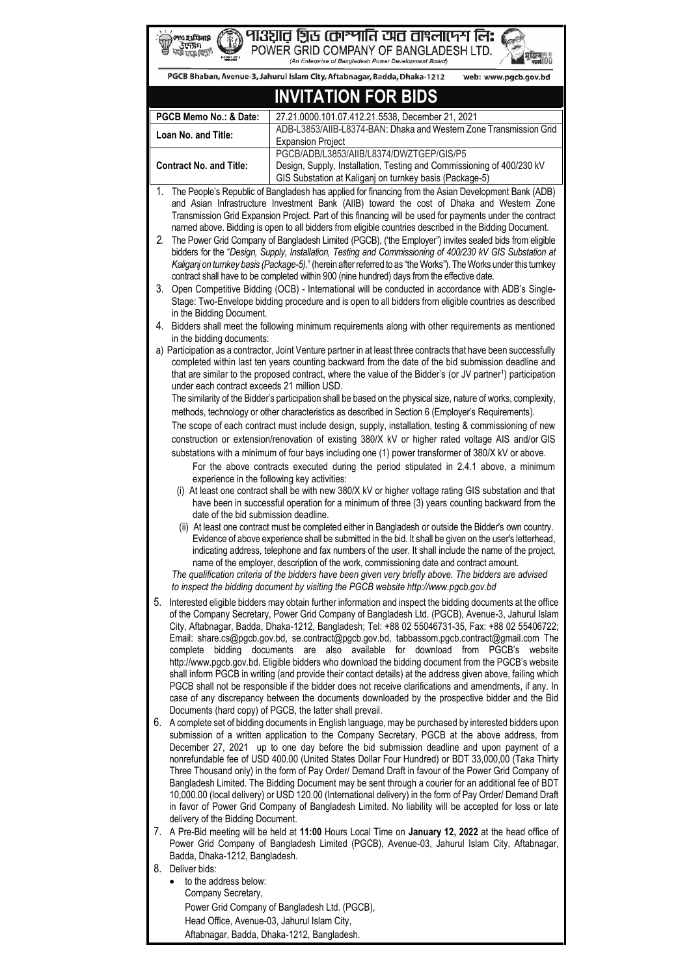| পা3ञ्चात ग्रिर्छ (काञ्मानि टपट ताश्लापिग लि <b>:</b><br>শেখ হায়িনায়<br>56711<br>POWER GRID COMPANY OF BANGLADESH LTD.<br>ৰ মেক<br>(An Enterprise of Bangladesh Power Development Board)                                                                                                                                                                                                                                                                                                                                                                                                                                                                                                                                                                                                                                                                                                                                                                                                                                                                                                                                                                                                                                                                                                                                          |                                                          |                                                                                                                                                                                                                                                                                                                         |    |                                                                                                                                                                                                                                                                                                     |                                                                                                                                                                                                                                                                                                                                                                                                                                                                                                      |
|------------------------------------------------------------------------------------------------------------------------------------------------------------------------------------------------------------------------------------------------------------------------------------------------------------------------------------------------------------------------------------------------------------------------------------------------------------------------------------------------------------------------------------------------------------------------------------------------------------------------------------------------------------------------------------------------------------------------------------------------------------------------------------------------------------------------------------------------------------------------------------------------------------------------------------------------------------------------------------------------------------------------------------------------------------------------------------------------------------------------------------------------------------------------------------------------------------------------------------------------------------------------------------------------------------------------------------|----------------------------------------------------------|-------------------------------------------------------------------------------------------------------------------------------------------------------------------------------------------------------------------------------------------------------------------------------------------------------------------------|----|-----------------------------------------------------------------------------------------------------------------------------------------------------------------------------------------------------------------------------------------------------------------------------------------------------|------------------------------------------------------------------------------------------------------------------------------------------------------------------------------------------------------------------------------------------------------------------------------------------------------------------------------------------------------------------------------------------------------------------------------------------------------------------------------------------------------|
|                                                                                                                                                                                                                                                                                                                                                                                                                                                                                                                                                                                                                                                                                                                                                                                                                                                                                                                                                                                                                                                                                                                                                                                                                                                                                                                                    |                                                          | PGCB Bhaban, Avenue-3, Jahurul Islam City, Aftabnagar, Badda, Dhaka-1212<br>web: www.pgcb.gov.bd                                                                                                                                                                                                                        |    |                                                                                                                                                                                                                                                                                                     |                                                                                                                                                                                                                                                                                                                                                                                                                                                                                                      |
| <b>INVITATION FOR BIDS</b>                                                                                                                                                                                                                                                                                                                                                                                                                                                                                                                                                                                                                                                                                                                                                                                                                                                                                                                                                                                                                                                                                                                                                                                                                                                                                                         |                                                          |                                                                                                                                                                                                                                                                                                                         |    |                                                                                                                                                                                                                                                                                                     |                                                                                                                                                                                                                                                                                                                                                                                                                                                                                                      |
| PGCB Memo No.: & Date:<br>27.21.0000.101.07.412.21.5538, December 21, 2021                                                                                                                                                                                                                                                                                                                                                                                                                                                                                                                                                                                                                                                                                                                                                                                                                                                                                                                                                                                                                                                                                                                                                                                                                                                         |                                                          |                                                                                                                                                                                                                                                                                                                         |    |                                                                                                                                                                                                                                                                                                     |                                                                                                                                                                                                                                                                                                                                                                                                                                                                                                      |
|                                                                                                                                                                                                                                                                                                                                                                                                                                                                                                                                                                                                                                                                                                                                                                                                                                                                                                                                                                                                                                                                                                                                                                                                                                                                                                                                    |                                                          | ADB-L3853/AIIB-L8374-BAN: Dhaka and Western Zone Transmission Grid                                                                                                                                                                                                                                                      |    |                                                                                                                                                                                                                                                                                                     |                                                                                                                                                                                                                                                                                                                                                                                                                                                                                                      |
|                                                                                                                                                                                                                                                                                                                                                                                                                                                                                                                                                                                                                                                                                                                                                                                                                                                                                                                                                                                                                                                                                                                                                                                                                                                                                                                                    | Loan No. and Title:                                      | <b>Expansion Project</b>                                                                                                                                                                                                                                                                                                |    |                                                                                                                                                                                                                                                                                                     |                                                                                                                                                                                                                                                                                                                                                                                                                                                                                                      |
|                                                                                                                                                                                                                                                                                                                                                                                                                                                                                                                                                                                                                                                                                                                                                                                                                                                                                                                                                                                                                                                                                                                                                                                                                                                                                                                                    |                                                          | PGCB/ADB/L3853/AIIB/L8374/DWZTGEP/GIS/P5                                                                                                                                                                                                                                                                                |    |                                                                                                                                                                                                                                                                                                     |                                                                                                                                                                                                                                                                                                                                                                                                                                                                                                      |
|                                                                                                                                                                                                                                                                                                                                                                                                                                                                                                                                                                                                                                                                                                                                                                                                                                                                                                                                                                                                                                                                                                                                                                                                                                                                                                                                    | <b>Contract No. and Title:</b>                           | Design, Supply, Installation, Testing and Commissioning of 400/230 kV<br>GIS Substation at Kaliganj on turnkey basis (Package-5)                                                                                                                                                                                        |    |                                                                                                                                                                                                                                                                                                     |                                                                                                                                                                                                                                                                                                                                                                                                                                                                                                      |
| The People's Republic of Bangladesh has applied for financing from the Asian Development Bank (ADB)<br>1.<br>and Asian Infrastructure Investment Bank (AIIB) toward the cost of Dhaka and Western Zone                                                                                                                                                                                                                                                                                                                                                                                                                                                                                                                                                                                                                                                                                                                                                                                                                                                                                                                                                                                                                                                                                                                             |                                                          |                                                                                                                                                                                                                                                                                                                         |    |                                                                                                                                                                                                                                                                                                     |                                                                                                                                                                                                                                                                                                                                                                                                                                                                                                      |
|                                                                                                                                                                                                                                                                                                                                                                                                                                                                                                                                                                                                                                                                                                                                                                                                                                                                                                                                                                                                                                                                                                                                                                                                                                                                                                                                    |                                                          | Transmission Grid Expansion Project. Part of this financing will be used for payments under the contract                                                                                                                                                                                                                |    |                                                                                                                                                                                                                                                                                                     |                                                                                                                                                                                                                                                                                                                                                                                                                                                                                                      |
| named above. Bidding is open to all bidders from eligible countries described in the Bidding Document.<br>2.<br>The Power Grid Company of Bangladesh Limited (PGCB), ('the Employer") invites sealed bids from eligible                                                                                                                                                                                                                                                                                                                                                                                                                                                                                                                                                                                                                                                                                                                                                                                                                                                                                                                                                                                                                                                                                                            |                                                          |                                                                                                                                                                                                                                                                                                                         |    |                                                                                                                                                                                                                                                                                                     |                                                                                                                                                                                                                                                                                                                                                                                                                                                                                                      |
|                                                                                                                                                                                                                                                                                                                                                                                                                                                                                                                                                                                                                                                                                                                                                                                                                                                                                                                                                                                                                                                                                                                                                                                                                                                                                                                                    |                                                          | bidders for the "Design, Supply, Installation, Testing and Commissioning of 400/230 kV GIS Substation at<br>Kaliganj on turnkey basis (Package-5)." (herein after referred to as "the Works"). The Works under this turnkey                                                                                             |    |                                                                                                                                                                                                                                                                                                     |                                                                                                                                                                                                                                                                                                                                                                                                                                                                                                      |
|                                                                                                                                                                                                                                                                                                                                                                                                                                                                                                                                                                                                                                                                                                                                                                                                                                                                                                                                                                                                                                                                                                                                                                                                                                                                                                                                    |                                                          | contract shall have to be completed within 900 (nine hundred) days from the effective date.                                                                                                                                                                                                                             |    |                                                                                                                                                                                                                                                                                                     |                                                                                                                                                                                                                                                                                                                                                                                                                                                                                                      |
|                                                                                                                                                                                                                                                                                                                                                                                                                                                                                                                                                                                                                                                                                                                                                                                                                                                                                                                                                                                                                                                                                                                                                                                                                                                                                                                                    | in the Bidding Document.                                 | 3. Open Competitive Bidding (OCB) - International will be conducted in accordance with ADB's Single-<br>Stage: Two-Envelope bidding procedure and is open to all bidders from eligible countries as described                                                                                                           |    |                                                                                                                                                                                                                                                                                                     |                                                                                                                                                                                                                                                                                                                                                                                                                                                                                                      |
|                                                                                                                                                                                                                                                                                                                                                                                                                                                                                                                                                                                                                                                                                                                                                                                                                                                                                                                                                                                                                                                                                                                                                                                                                                                                                                                                    | in the bidding documents:                                | 4. Bidders shall meet the following minimum requirements along with other requirements as mentioned                                                                                                                                                                                                                     |    |                                                                                                                                                                                                                                                                                                     |                                                                                                                                                                                                                                                                                                                                                                                                                                                                                                      |
| a) Participation as a contractor, Joint Venture partner in at least three contracts that have been successfully<br>completed within last ten years counting backward from the date of the bid submission deadline and<br>that are similar to the proposed contract, where the value of the Bidder's (or JV partner <sup>1</sup> ) participation<br>under each contract exceeds 21 million USD.<br>The similarity of the Bidder's participation shall be based on the physical size, nature of works, complexity,<br>methods, technology or other characteristics as described in Section 6 (Employer's Requirements).<br>The scope of each contract must include design, supply, installation, testing & commissioning of new<br>construction or extension/renovation of existing 380/X kV or higher rated voltage AIS and/or GIS<br>substations with a minimum of four bays including one (1) power transformer of 380/X kV or above.<br>For the above contracts executed during the period stipulated in 2.4.1 above, a minimum<br>experience in the following key activities:<br>(i) At least one contract shall be with new 380/X kV or higher voltage rating GIS substation and that<br>have been in successful operation for a minimum of three (3) years counting backward from the<br>date of the bid submission deadline. |                                                          |                                                                                                                                                                                                                                                                                                                         |    |                                                                                                                                                                                                                                                                                                     |                                                                                                                                                                                                                                                                                                                                                                                                                                                                                                      |
|                                                                                                                                                                                                                                                                                                                                                                                                                                                                                                                                                                                                                                                                                                                                                                                                                                                                                                                                                                                                                                                                                                                                                                                                                                                                                                                                    |                                                          |                                                                                                                                                                                                                                                                                                                         |    | (ii) At least one contract must be completed either in Bangladesh or outside the Bidder's own country.                                                                                                                                                                                              |                                                                                                                                                                                                                                                                                                                                                                                                                                                                                                      |
|                                                                                                                                                                                                                                                                                                                                                                                                                                                                                                                                                                                                                                                                                                                                                                                                                                                                                                                                                                                                                                                                                                                                                                                                                                                                                                                                    |                                                          |                                                                                                                                                                                                                                                                                                                         |    |                                                                                                                                                                                                                                                                                                     | Evidence of above experience shall be submitted in the bid. It shall be given on the user's letterhead,<br>indicating address, telephone and fax numbers of the user. It shall include the name of the project,<br>name of the employer, description of the work, commissioning date and contract amount.                                                                                                                                                                                            |
|                                                                                                                                                                                                                                                                                                                                                                                                                                                                                                                                                                                                                                                                                                                                                                                                                                                                                                                                                                                                                                                                                                                                                                                                                                                                                                                                    |                                                          |                                                                                                                                                                                                                                                                                                                         |    |                                                                                                                                                                                                                                                                                                     | The qualification criteria of the bidders have been given very briefly above. The bidders are advised<br>to inspect the bidding document by visiting the PGCB website http://www.pgcb.gov.bd                                                                                                                                                                                                                                                                                                         |
|                                                                                                                                                                                                                                                                                                                                                                                                                                                                                                                                                                                                                                                                                                                                                                                                                                                                                                                                                                                                                                                                                                                                                                                                                                                                                                                                    |                                                          |                                                                                                                                                                                                                                                                                                                         | 5. |                                                                                                                                                                                                                                                                                                     | Interested eligible bidders may obtain further information and inspect the bidding documents at the office<br>of the Company Secretary, Power Grid Company of Bangladesh Ltd. (PGCB), Avenue-3, Jahurul Islam<br>City, Aftabnagar, Badda, Dhaka-1212, Bangladesh; Tel: +88 02 55046731-35, Fax: +88 02 55406722;<br>Email: share.cs@pgcb.gov.bd, se.contract@pgcb.gov.bd, tabbassom.pgcb.contract@gmail.com The<br>complete bidding documents are also available for download from PGCB's<br>website |
|                                                                                                                                                                                                                                                                                                                                                                                                                                                                                                                                                                                                                                                                                                                                                                                                                                                                                                                                                                                                                                                                                                                                                                                                                                                                                                                                    |                                                          |                                                                                                                                                                                                                                                                                                                         |    |                                                                                                                                                                                                                                                                                                     | http://www.pgcb.gov.bd. Eligible bidders who download the bidding document from the PGCB's website<br>shall inform PGCB in writing (and provide their contact details) at the address given above, failing which<br>PGCB shall not be responsible if the bidder does not receive clarifications and amendments, if any. In<br>case of any discrepancy between the documents downloaded by the prospective bidder and the Bid<br>Documents (hard copy) of PGCB, the latter shall prevail.             |
|                                                                                                                                                                                                                                                                                                                                                                                                                                                                                                                                                                                                                                                                                                                                                                                                                                                                                                                                                                                                                                                                                                                                                                                                                                                                                                                                    |                                                          |                                                                                                                                                                                                                                                                                                                         |    | 6. A complete set of bidding documents in English language, may be purchased by interested bidders upon<br>submission of a written application to the Company Secretary, PGCB at the above address, from                                                                                            |                                                                                                                                                                                                                                                                                                                                                                                                                                                                                                      |
|                                                                                                                                                                                                                                                                                                                                                                                                                                                                                                                                                                                                                                                                                                                                                                                                                                                                                                                                                                                                                                                                                                                                                                                                                                                                                                                                    |                                                          |                                                                                                                                                                                                                                                                                                                         |    | December 27, 2021 up to one day before the bid submission deadline and upon payment of a<br>nonrefundable fee of USD 400.00 (United States Dollar Four Hundred) or BDT 33,000,00 (Taka Thirty<br>Three Thousand only) in the form of Pay Order/ Demand Draft in favour of the Power Grid Company of |                                                                                                                                                                                                                                                                                                                                                                                                                                                                                                      |
|                                                                                                                                                                                                                                                                                                                                                                                                                                                                                                                                                                                                                                                                                                                                                                                                                                                                                                                                                                                                                                                                                                                                                                                                                                                                                                                                    |                                                          | Bangladesh Limited. The Bidding Document may be sent through a courier for an additional fee of BDT<br>10,000.00 (local delivery) or USD 120.00 (International delivery) in the form of Pay Order/ Demand Draft<br>in favor of Power Grid Company of Bangladesh Limited. No liability will be accepted for loss or late |    |                                                                                                                                                                                                                                                                                                     |                                                                                                                                                                                                                                                                                                                                                                                                                                                                                                      |
|                                                                                                                                                                                                                                                                                                                                                                                                                                                                                                                                                                                                                                                                                                                                                                                                                                                                                                                                                                                                                                                                                                                                                                                                                                                                                                                                    | delivery of the Bidding Document.                        | 7. A Pre-Bid meeting will be held at 11:00 Hours Local Time on January 12, 2022 at the head office of<br>Power Grid Company of Bangladesh Limited (PGCB), Avenue-03, Jahurul Islam City, Aftabnagar,                                                                                                                    |    |                                                                                                                                                                                                                                                                                                     |                                                                                                                                                                                                                                                                                                                                                                                                                                                                                                      |
|                                                                                                                                                                                                                                                                                                                                                                                                                                                                                                                                                                                                                                                                                                                                                                                                                                                                                                                                                                                                                                                                                                                                                                                                                                                                                                                                    | Badda, Dhaka-1212, Bangladesh.<br>Deliver bids:          |                                                                                                                                                                                                                                                                                                                         |    |                                                                                                                                                                                                                                                                                                     |                                                                                                                                                                                                                                                                                                                                                                                                                                                                                                      |
| 8.                                                                                                                                                                                                                                                                                                                                                                                                                                                                                                                                                                                                                                                                                                                                                                                                                                                                                                                                                                                                                                                                                                                                                                                                                                                                                                                                 | to the address below:<br>$\bullet$<br>Company Secretary, |                                                                                                                                                                                                                                                                                                                         |    |                                                                                                                                                                                                                                                                                                     |                                                                                                                                                                                                                                                                                                                                                                                                                                                                                                      |
|                                                                                                                                                                                                                                                                                                                                                                                                                                                                                                                                                                                                                                                                                                                                                                                                                                                                                                                                                                                                                                                                                                                                                                                                                                                                                                                                    |                                                          | Power Grid Company of Bangladesh Ltd. (PGCB),                                                                                                                                                                                                                                                                           |    |                                                                                                                                                                                                                                                                                                     |                                                                                                                                                                                                                                                                                                                                                                                                                                                                                                      |
|                                                                                                                                                                                                                                                                                                                                                                                                                                                                                                                                                                                                                                                                                                                                                                                                                                                                                                                                                                                                                                                                                                                                                                                                                                                                                                                                    | Head Office, Avenue-03, Jahurul Islam City,              |                                                                                                                                                                                                                                                                                                                         |    |                                                                                                                                                                                                                                                                                                     |                                                                                                                                                                                                                                                                                                                                                                                                                                                                                                      |

Aftabnagar, Badda, Dhaka-1212, Bangladesh.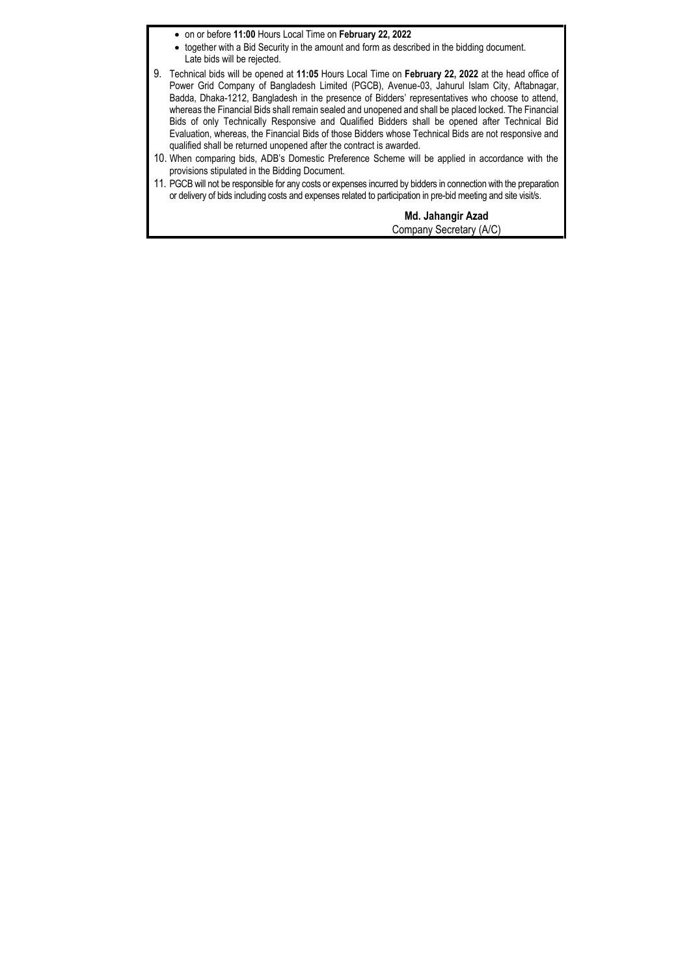- on or before **11:00** Hours Local Time on **February 22, 2022**
- together with a Bid Security in the amount and form as described in the bidding document. Late bids will be rejected.
- 9. Technical bids will be opened at **11:05** Hours Local Time on **February 22, 2022** at the head office of Power Grid Company of Bangladesh Limited (PGCB), Avenue-03, Jahurul Islam City, Aftabnagar, Badda, Dhaka-1212, Bangladesh in the presence of Bidders' representatives who choose to attend, whereas the Financial Bids shall remain sealed and unopened and shall be placed locked. The Financial Bids of only Technically Responsive and Qualified Bidders shall be opened after Technical Bid Evaluation, whereas, the Financial Bids of those Bidders whose Technical Bids are not responsive and qualified shall be returned unopened after the contract is awarded.
- 10. When comparing bids, ADB's Domestic Preference Scheme will be applied in accordance with the provisions stipulated in the Bidding Document.
- 11. PGCB will not be responsible for any costs or expenses incurred by bidders in connection with the preparation or delivery of bids including costs and expenses related to participation in pre-bid meeting and site visit/s.

**Md. Jahangir Azad** Company Secretary (A/C)